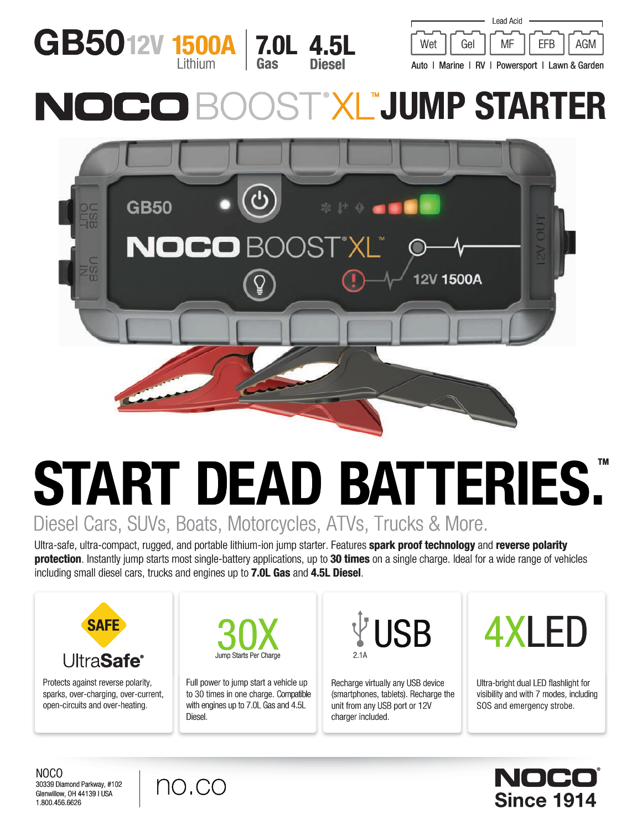



Auto | Marine | RV | Powersport | Lawn & Garden

# **EXLEJUMP STARTER**



# START DEAD BATTERIES. Diesel Cars, SUVs, Boats, Motorcycles, ATVs, Trucks & More.

Ultra-safe, ultra-compact, rugged, and portable lithium-ion jump starter. Features spark proof technology and reverse polarity **protection**. Instantly jump starts most single-battery applications, up to 30 times on a single charge. Ideal for a wide range of vehicles including small diesel cars, trucks and engines up to 7.0L Gas and 4.5L Diesel.



Protects against reverse polarity, sparks, over-charging, over-current, open-circuits and over-heating.



Full power to jump start a vehicle up to 30 times in one charge. Compatible with engines up to 7.0L Gas and 4.5L Diesel.

2.1A

Recharge virtually any USB device (smartphones, tablets). Recharge the unit from any USB port or 12V charger included.



Ultra-bright dual LED flashlight for visibility and with 7 modes, including SOS and emergency strobe.



NOCO 30339 Diamond Parkway, #102 Glenwillow, OH 44139 | USA 1.800.456.6626